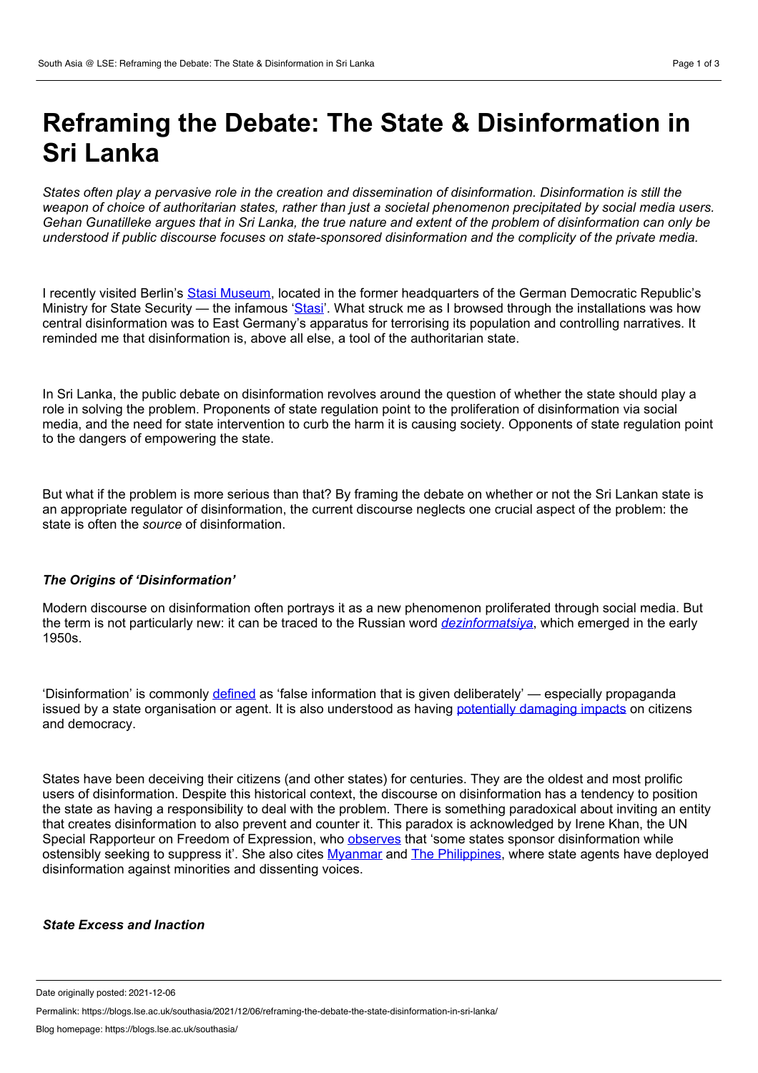# **Reframing the Debate: The State & Disinformation in Sri Lanka**

States often play a pervasive role in the creation and dissemination of disinformation. Disinformation is still the weapon of choice of authoritarian states, rather than just a societal phenomenon precipitated by social media users. Gehan Gunatilleke argues that in Sri Lanka, the true nature and extent of the problem of disinformation can only be *understood if public discourse focuses on state-sponsored disinformation and the complicity of the private media.*

I recently visited Berlin's Stasi [Museum,](https://www.stasimuseum.de/en/enindex.htm) located in the former headquarters of the German Democratic Republic's Ministry for State Security — the infamous ['Stasi](https://www.britannica.com/topic/Stasi)'. What struck me as I browsed through the installations was how central disinformation was to East Germany's apparatus for terrorising its population and controlling narratives. It reminded me that disinformation is, above all else, a tool of the authoritarian state.

In Sri Lanka, the public debate on disinformation revolves around the question of whether the state should play a role in solving the problem. Proponents of state regulation point to the proliferation of disinformation via social media, and the need for state intervention to curb the harm it is causing society. Opponents of state regulation point to the dangers of empowering the state.

But what if the problem is more serious than that? By framing the debate on whether or not the Sri Lankan state is an appropriate regulator of disinformation, the current discourse neglects one crucial aspect of the problem: the state is often the *source* of disinformation.

## *The Origins of 'Disinformation'*

Modern discourse on disinformation often portrays it as a new phenomenon proliferated through social media. But the term is not particularly new: it can be traced to the Russian word *[dezinformatsiya](https://www.bcs.org/articles-opinion-and-research/dezinformatsiya-and-the-art-of-information-warfare/)*, which emerged in the early 1950s.

'Disinformation' is commonly [defined](https://www.oxfordlearnersdictionaries.com/definition/english/disinformation?q=disinformation) as 'false information that is given deliberately' — especially propaganda issued by a state organisation or agent. It is also understood as having [potentially](https://en.unesco.org/sites/default/files/1_introduction_17_35_balancing_act_disinfo.pdf) damaging impacts on citizens and democracy.

States have been deceiving their citizens (and other states) for centuries. They are the oldest and most prolific users of disinformation. Despite this historical context, the discourse on disinformation has a tendency to position the state as having a responsibility to deal with the problem. There is something paradoxical about inviting an entity that creates disinformation to also prevent and counter it. This paradox is acknowledged by Irene Khan, the UN Special Rapporteur on Freedom of Expression, who [observes](https://undocs.org/A/HRC/47/25) that 'some states sponsor disinformation while ostensibly seeking to suppress it'. She also cites [Myanmar](https://www.tandfonline.com/doi/pdf/10.1080/0967828X.2020.1850178?needAccess=true) and The [Philippines,](https://www.hrw.org/news/2021/02/10/philippine-general-should-answer-red-tagging) where state agents have deployed disinformation against minorities and dissenting voices.

## *State Excess and Inaction*

Date originally posted: 2021-12-06

Permalink: https://blogs.lse.ac.uk/southasia/2021/12/06/reframing-the-debate-the-state-disinformation-in-sri-lanka/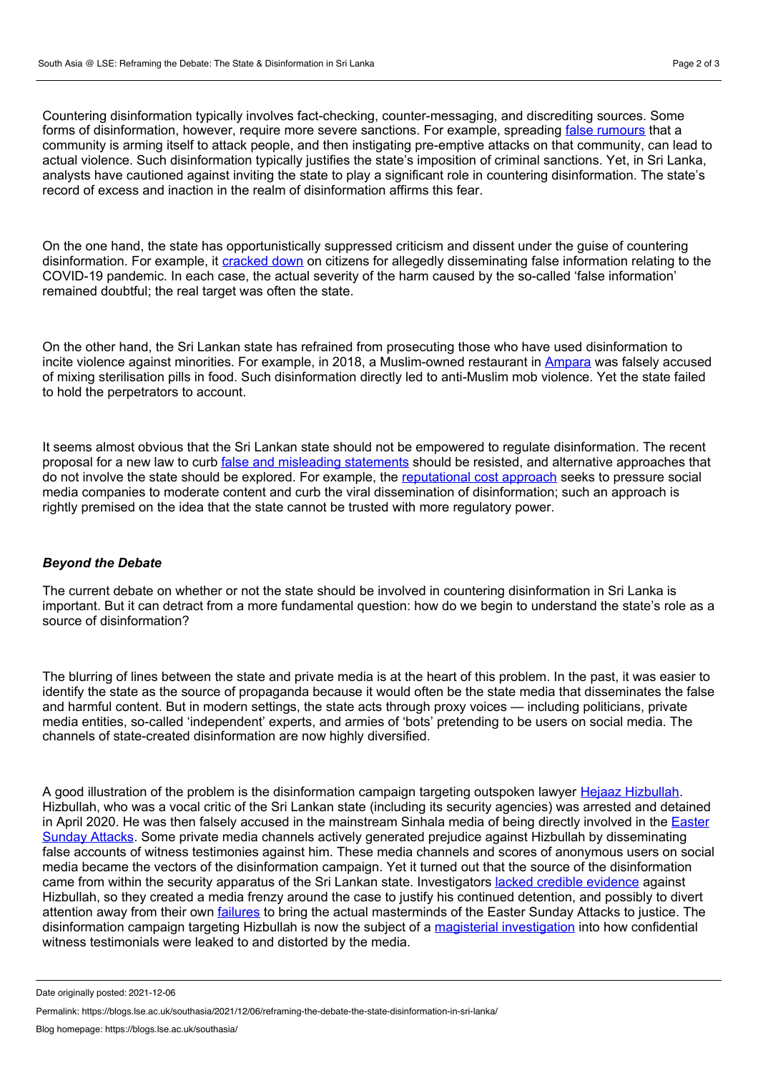Countering disinformation typically involves fact-checking, counter-messaging, and discrediting sources. Some forms of disinformation, however, require more severe sanctions. For example, spreading false [rumours](https://globalvoices.org/2017/11/23/social-media-rumors-escalate-buddhist-muslim-violence-in-sri-lanka/) that a community is arming itself to attack people, and then instigating pre-emptive attacks on that community, can lead to actual violence. Such disinformation typically justifies the state's imposition of criminal sanctions. Yet, in Sri Lanka, analysts have cautioned against inviting the state to play a significant role in countering disinformation. The state's record of excess and inaction in the realm of disinformation affirms this fear.

On the one hand, the state has opportunistically suppressed criticism and dissent under the guise of countering disinformation. For example, it [cracked](http://www.dailymirror.lk/breaking_news/Five-arrested-for-sharing-false-content-on-COVID-19/108-186120) down on citizens for allegedly disseminating false information relating to the COVID-19 pandemic. In each case, the actual severity of the harm caused by the so-called 'false information' remained doubtful; the real target was often the state.

On the other hand, the Sri Lankan state has refrained from prosecuting those who have used disinformation to incite violence against minorities. For example, in 2018, a Muslim-owned restaurant in [Ampara](http://www.sundayobserver.lk/2018/03/04/news/tension-ampara-after-fake-%25E2%2580%2598sterilization-pills%25E2%2580%2599-controversy) was falsely accused of mixing sterilisation pills in food. Such disinformation directly led to anti-Muslim mob violence. Yet the state failed to hold the perpetrators to account.

It seems almost obvious that the Sri Lankan state should not be empowered to regulate disinformation. The recent proposal for a new law to curb false and misleading [statements](https://www.dailynews.lk/2021/04/21/local/247129/laws-curb-fake-news-new-media) should be resisted, and alternative approaches that do not involve the state should be explored. For example, the [reputational](https://www.veriteresearch.org/wp-content/uploads/2021/07/VR_ENG_RB_Jul2021_Better-Moderation-of-Hate-Speech-on-Social-Media.pdf) cost approach seeks to pressure social media companies to moderate content and curb the viral dissemination of disinformation; such an approach is rightly premised on the idea that the state cannot be trusted with more regulatory power.

#### *Beyond the Debate*

The current debate on whether or not the state should be involved in countering disinformation in Sri Lanka is important. But it can detract from a more fundamental question: how do we begin to understand the state's role as a source of disinformation?

The blurring of lines between the state and private media is at the heart of this problem. In the past, it was easier to identify the state as the source of propaganda because it would often be the state media that disseminates the false and harmful content. But in modern settings, the state acts through proxy voices — including politicians, private media entities, so-called 'independent' experts, and armies of 'bots' pretending to be users on social media. The channels of state-created disinformation are now highly diversified.

A good illustration of the problem is the disinformation campaign targeting outspoken lawyer Hejaaz [Hizbullah](https://www.amnesty.org/en/documents/asa37/4468/2021/en/). Hizbullah, who was a vocal critic of the Sri Lankan state (including its security agencies) was arrested and detained in April 2020. He was then falsely accused in the mainstream Sinhala media of being directly involved in the Easter Sunday Attacks. Some private media channels actively generated prejudice against Hizbullah by [disseminating](https://www.bbc.co.uk/news/world-asia-52357200) false accounts of witness testimonies against him. These media channels and scores of anonymous users on social media became the vectors of the disinformation campaign. Yet it turned out that the source of the disinformation came from within the security apparatus of the Sri Lankan state. Investigators lacked credible [evidence](https://www.amnesty.org/en/latest/news/2020/07/sri-lanka-on-hejaaz-hizbullah-and-the-prevention-of-terrorism-act/) against Hizbullah, so they created a media frenzy around the case to justify his continued detention, and possibly to divert attention away from their own [failures](https://www.reuters.com/article/us-sri-lanka-blasts-cardinal-idUSKCN1TL1VF) to bring the actual masterminds of the Easter Sunday Attacks to justice. The disinformation campaign targeting Hizbullah is now the subject of a magisterial [investigation](https://www.ft.lk/news/Magistrate-orders-investigation-into-publicising-) into how confidential witness testimonials were leaked to and distorted by the media.

Date originally posted: 2021-12-06

Permalink: https://blogs.lse.ac.uk/southasia/2021/12/06/reframing-the-debate-the-state-disinformation-in-sri-lanka/